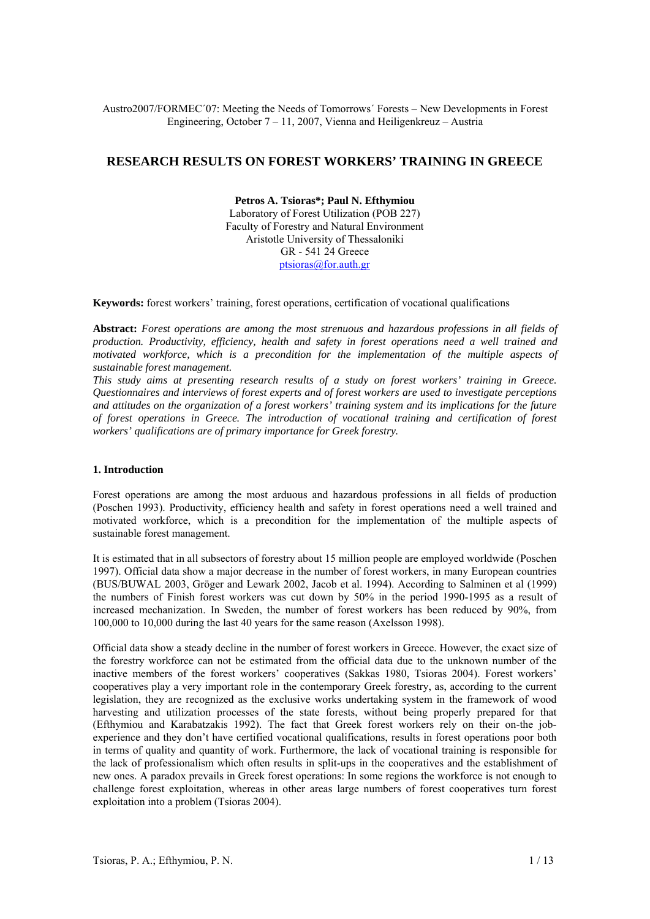Austro2007/FORMEC´07: Meeting the Needs of Tomorrows´ Forests – New Developments in Forest Engineering, October 7 – 11, 2007, Vienna and Heiligenkreuz – Austria

# **RESEARCH RESULTS ON FOREST WORKERS' TRAINING IN GREECE**

**Petros A. Tsioras\*; Paul N. Efthymiou** Laboratory of Forest Utilization (POB 227) Faculty of Forestry and Natural Environment Aristotle University of Thessaloniki GR - 541 24 Greece ptsioras@for.auth.gr

**Keywords:** forest workers' training, forest operations, certification of vocational qualifications

**Abstract:** *Forest operations are among the most strenuous and hazardous professions in all fields of production. Productivity, efficiency, health and safety in forest operations need a well trained and motivated workforce, which is a precondition for the implementation of the multiple aspects of sustainable forest management.* 

*This study aims at presenting research results of a study on forest workers' training in Greece. Questionnaires and interviews of forest experts and of forest workers are used to investigate perceptions and attitudes on the organization of a forest workers' training system and its implications for the future of forest operations in Greece. The introduction of vocational training and certification of forest workers' qualifications are of primary importance for Greek forestry.* 

### **1. Introduction**

Forest operations are among the most arduous and hazardous professions in all fields of production (Poschen 1993). Productivity, efficiency health and safety in forest operations need a well trained and motivated workforce, which is a precondition for the implementation of the multiple aspects of sustainable forest management.

It is estimated that in all subsectors of forestry about 15 million people are employed worldwide (Poschen 1997). Official data show a major decrease in the number of forest workers, in many European countries (BUS/BUWAL 2003, Gröger and Lewark 2002, Jacob et al. 1994). According to Salminen et al (1999) the numbers of Finish forest workers was cut down by 50% in the period 1990-1995 as a result of increased mechanization. In Sweden, the number of forest workers has been reduced by 90%, from 100,000 to 10,000 during the last 40 years for the same reason (Axelsson 1998).

Official data show a steady decline in the number of forest workers in Greece. However, the exact size of the forestry workforce can not be estimated from the official data due to the unknown number of the inactive members of the forest workers' cooperatives (Sakkas 1980, Tsioras 2004). Forest workers' cooperatives play a very important role in the contemporary Greek forestry, as, according to the current legislation, they are recognized as the exclusive works undertaking system in the framework of wood harvesting and utilization processes of the state forests, without being properly prepared for that (Efthymiou and Karabatzakis 1992). The fact that Greek forest workers rely on their on-the jobexperience and they don't have certified vocational qualifications, results in forest operations poor both in terms of quality and quantity of work. Furthermore, the lack of vocational training is responsible for the lack of professionalism which often results in split-ups in the cooperatives and the establishment of new ones. A paradox prevails in Greek forest operations: In some regions the workforce is not enough to challenge forest exploitation, whereas in other areas large numbers of forest cooperatives turn forest exploitation into a problem (Tsioras 2004).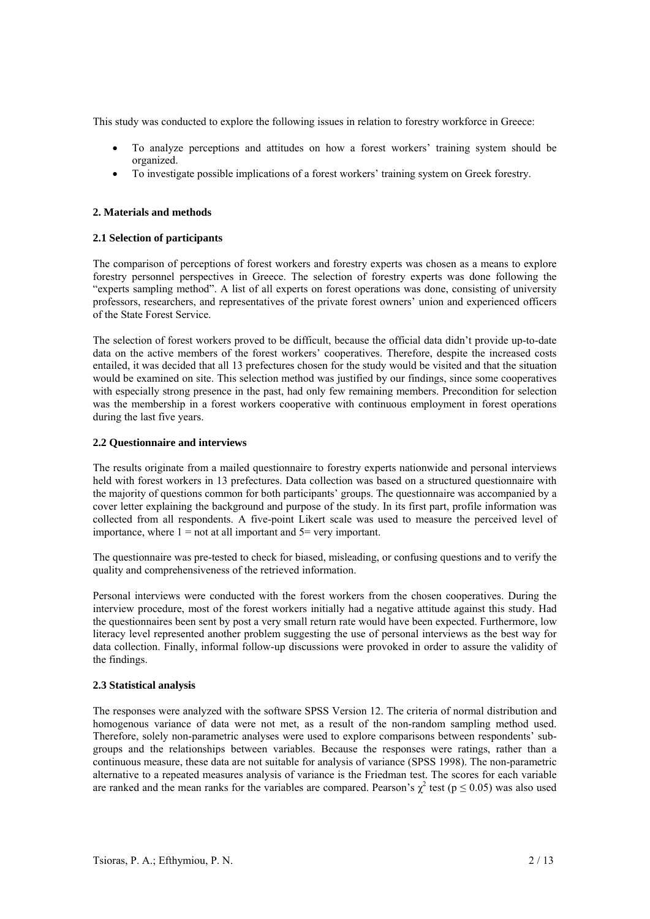This study was conducted to explore the following issues in relation to forestry workforce in Greece:

- To analyze perceptions and attitudes on how a forest workers' training system should be organized.
- To investigate possible implications of a forest workers' training system on Greek forestry.

# **2. Materials and methods**

# **2.1 Selection of participants**

The comparison of perceptions of forest workers and forestry experts was chosen as a means to explore forestry personnel perspectives in Greece. The selection of forestry experts was done following the "experts sampling method". A list of all experts on forest operations was done, consisting of university professors, researchers, and representatives of the private forest owners' union and experienced officers of the State Forest Service.

The selection of forest workers proved to be difficult, because the official data didn't provide up-to-date data on the active members of the forest workers' cooperatives. Therefore, despite the increased costs entailed, it was decided that all 13 prefectures chosen for the study would be visited and that the situation would be examined on site. This selection method was justified by our findings, since some cooperatives with especially strong presence in the past, had only few remaining members. Precondition for selection was the membership in a forest workers cooperative with continuous employment in forest operations during the last five years.

# **2.2 Questionnaire and interviews**

The results originate from a mailed questionnaire to forestry experts nationwide and personal interviews held with forest workers in 13 prefectures. Data collection was based on a structured questionnaire with the majority of questions common for both participants' groups. The questionnaire was accompanied by a cover letter explaining the background and purpose of the study. In its first part, profile information was collected from all respondents. A five-point Likert scale was used to measure the perceived level of importance, where  $1 =$  not at all important and  $5 =$  very important.

The questionnaire was pre-tested to check for biased, misleading, or confusing questions and to verify the quality and comprehensiveness of the retrieved information.

Personal interviews were conducted with the forest workers from the chosen cooperatives. During the interview procedure, most of the forest workers initially had a negative attitude against this study. Had the questionnaires been sent by post a very small return rate would have been expected. Furthermore, low literacy level represented another problem suggesting the use of personal interviews as the best way for data collection. Finally, informal follow-up discussions were provoked in order to assure the validity of the findings.

### **2.3 Statistical analysis**

The responses were analyzed with the software SPSS Version 12. The criteria of normal distribution and homogenous variance of data were not met, as a result of the non-random sampling method used. Therefore, solely non-parametric analyses were used to explore comparisons between respondents' subgroups and the relationships between variables. Because the responses were ratings, rather than a continuous measure, these data are not suitable for analysis of variance (SPSS 1998). The non-parametric alternative to a repeated measures analysis of variance is the Friedman test. The scores for each variable are ranked and the mean ranks for the variables are compared. Pearson's  $\chi^2$  test ( $p \le 0.05$ ) was also used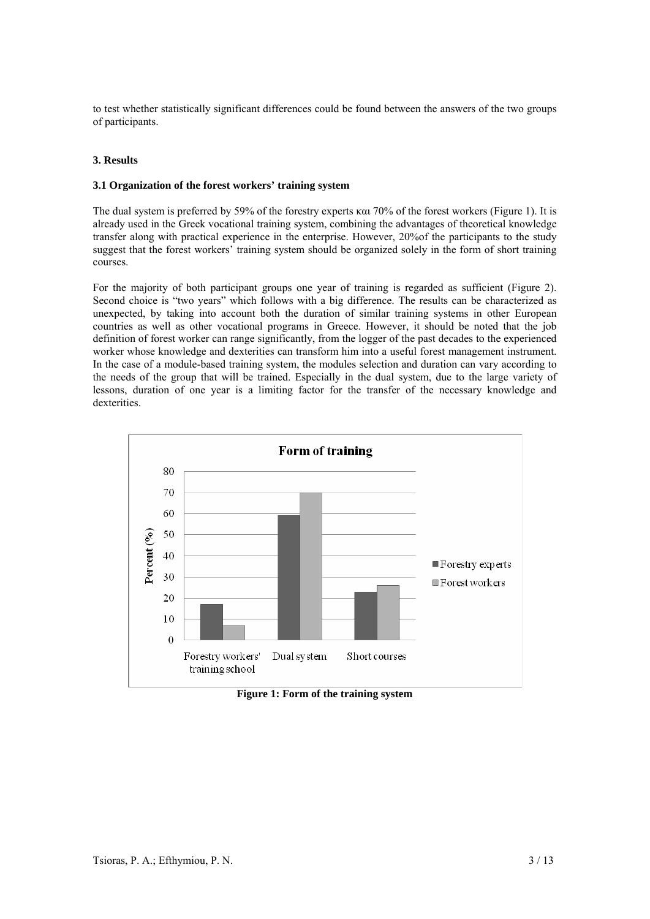to test whether statistically significant differences could be found between the answers of the two groups of participants.

# **3. Results**

### **3.1 Organization of the forest workers' training system**

The dual system is preferred by 59% of the forestry experts και 70% of the forest workers (Figure 1). It is already used in the Greek vocational training system, combining the advantages of theoretical knowledge transfer along with practical experience in the enterprise. However, 20%of the participants to the study suggest that the forest workers' training system should be organized solely in the form of short training courses.

For the majority of both participant groups one year of training is regarded as sufficient (Figure 2). Second choice is "two years" which follows with a big difference. The results can be characterized as unexpected, by taking into account both the duration of similar training systems in other European countries as well as other vocational programs in Greece. However, it should be noted that the job definition of forest worker can range significantly, from the logger of the past decades to the experienced worker whose knowledge and dexterities can transform him into a useful forest management instrument. In the case of a module-based training system, the modules selection and duration can vary according to the needs of the group that will be trained. Especially in the dual system, due to the large variety of lessons, duration of one year is a limiting factor for the transfer of the necessary knowledge and dexterities.



**Figure 1: Form of the training system**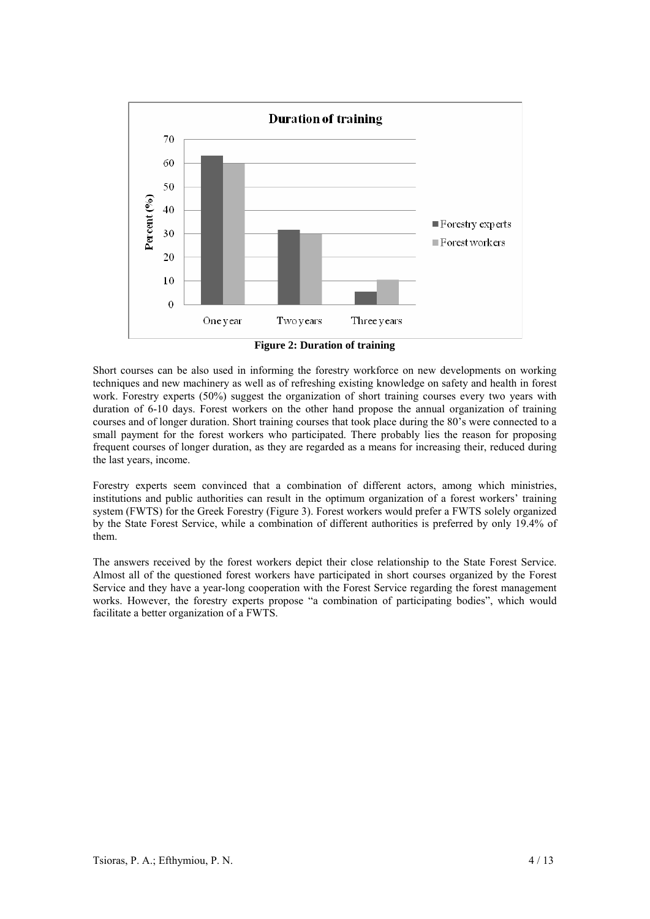

**Figure 2: Duration of training** 

Short courses can be also used in informing the forestry workforce on new developments on working techniques and new machinery as well as of refreshing existing knowledge on safety and health in forest work. Forestry experts (50%) suggest the organization of short training courses every two years with duration of 6-10 days. Forest workers on the other hand propose the annual organization of training courses and of longer duration. Short training courses that took place during the 80's were connected to a small payment for the forest workers who participated. There probably lies the reason for proposing frequent courses of longer duration, as they are regarded as a means for increasing their, reduced during the last years, income.

Forestry experts seem convinced that a combination of different actors, among which ministries, institutions and public authorities can result in the optimum organization of a forest workers' training system (FWTS) for the Greek Forestry (Figure 3). Forest workers would prefer a FWTS solely organized by the State Forest Service, while a combination of different authorities is preferred by only 19.4% of them.

The answers received by the forest workers depict their close relationship to the State Forest Service. Almost all of the questioned forest workers have participated in short courses organized by the Forest Service and they have a year-long cooperation with the Forest Service regarding the forest management works. However, the forestry experts propose "a combination of participating bodies", which would facilitate a better organization of a FWTS.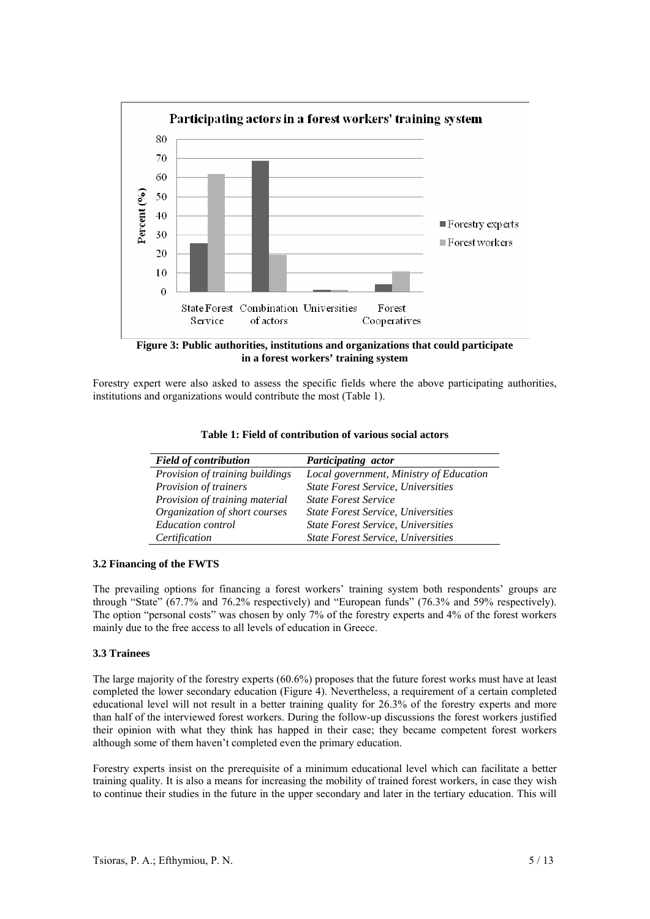

**in a forest workers' training system** 

Forestry expert were also asked to assess the specific fields where the above participating authorities, institutions and organizations would contribute the most (Table 1).

| <b>Field of contribution</b>    | Participating actor                       |
|---------------------------------|-------------------------------------------|
| Provision of training buildings | Local government, Ministry of Education   |
| Provision of trainers           | <b>State Forest Service, Universities</b> |
| Provision of training material  | <b>State Forest Service</b>               |
| Organization of short courses   | <b>State Forest Service, Universities</b> |
| <b>Education</b> control        | <b>State Forest Service, Universities</b> |
| Certification                   | <b>State Forest Service, Universities</b> |

|  | Table 1: Field of contribution of various social actors |  |  |
|--|---------------------------------------------------------|--|--|
|--|---------------------------------------------------------|--|--|

### **3.2 Financing of the FWTS**

The prevailing options for financing a forest workers' training system both respondents' groups are through "State" (67.7% and 76.2% respectively) and "European funds" (76.3% and 59% respectively). The option "personal costs" was chosen by only 7% of the forestry experts and 4% of the forest workers mainly due to the free access to all levels of education in Greece.

### **3.3 Trainees**

The large majority of the forestry experts (60.6%) proposes that the future forest works must have at least completed the lower secondary education (Figure 4). Nevertheless, a requirement of a certain completed educational level will not result in a better training quality for 26.3% of the forestry experts and more than half of the interviewed forest workers. During the follow-up discussions the forest workers justified their opinion with what they think has happed in their case; they became competent forest workers although some of them haven't completed even the primary education.

Forestry experts insist on the prerequisite of a minimum educational level which can facilitate a better training quality. It is also a means for increasing the mobility of trained forest workers, in case they wish to continue their studies in the future in the upper secondary and later in the tertiary education. This will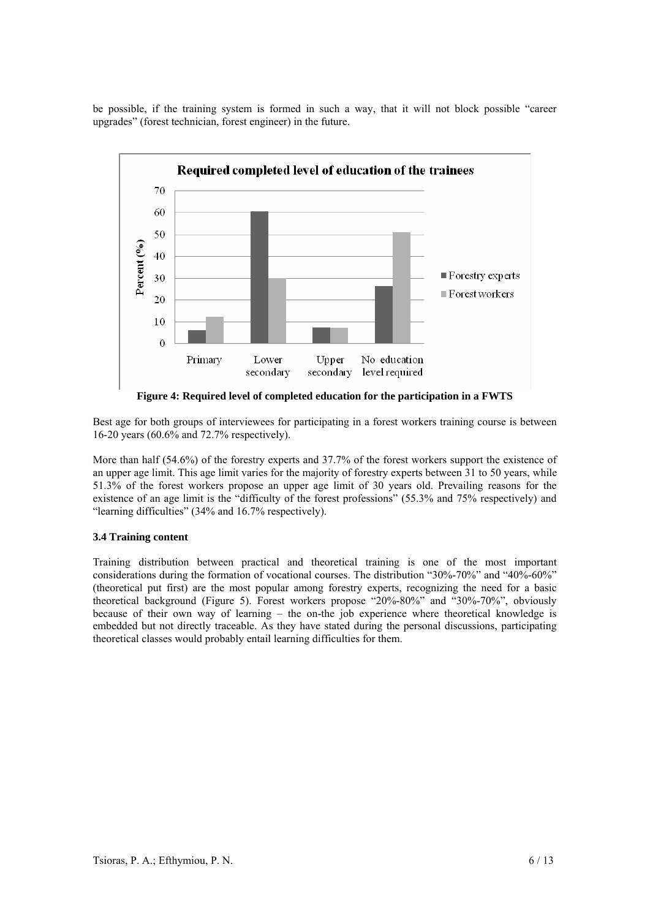be possible, if the training system is formed in such a way, that it will not block possible "career upgrades" (forest technician, forest engineer) in the future.



**Figure 4: Required level of completed education for the participation in a FWTS** 

Best age for both groups of interviewees for participating in a forest workers training course is between 16-20 years (60.6% and 72.7% respectively).

More than half (54.6%) of the forestry experts and 37.7% of the forest workers support the existence of an upper age limit. This age limit varies for the majority of forestry experts between 31 to 50 years, while 51.3% of the forest workers propose an upper age limit of 30 years old. Prevailing reasons for the existence of an age limit is the "difficulty of the forest professions" (55.3% and 75% respectively) and "learning difficulties" (34% and 16.7% respectively).

### **3.4 Training content**

Training distribution between practical and theoretical training is one of the most important considerations during the formation of vocational courses. The distribution "30%-70%" and "40%-60%" (theoretical put first) are the most popular among forestry experts, recognizing the need for a basic theoretical background (Figure 5). Forest workers propose "20%-80%" and "30%-70%", obviously because of their own way of learning – the on-the job experience where theoretical knowledge is embedded but not directly traceable. As they have stated during the personal discussions, participating theoretical classes would probably entail learning difficulties for them.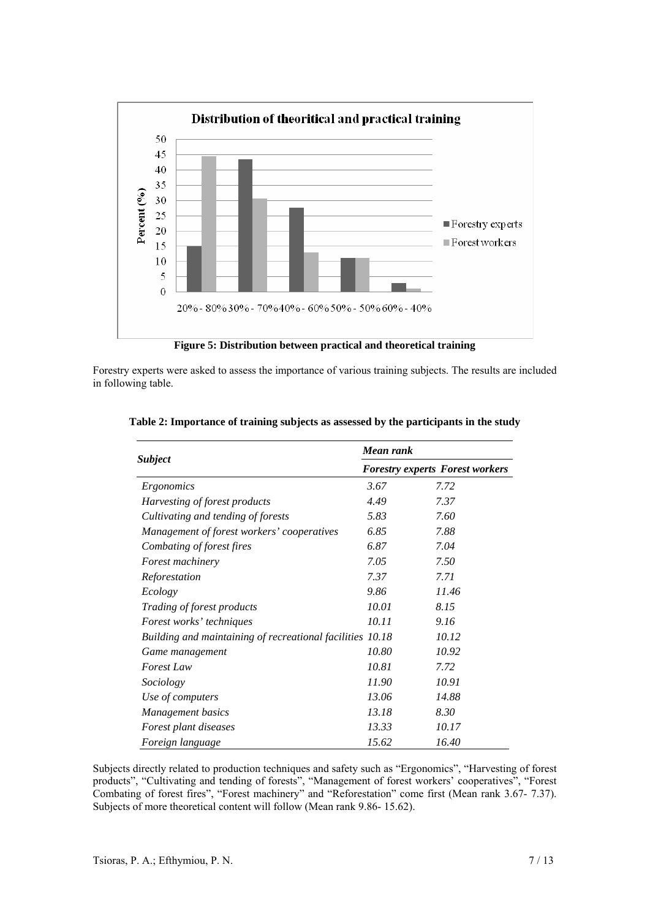

**Figure 5: Distribution between practical and theoretical training** 

Forestry experts were asked to assess the importance of various training subjects. The results are included in following table.

|                                                           | Mean rank<br><b>Forestry experts Forest workers</b> |       |  |
|-----------------------------------------------------------|-----------------------------------------------------|-------|--|
| <b>Subject</b>                                            |                                                     |       |  |
| Ergonomics                                                | 3.67                                                | 7.72  |  |
| Harvesting of forest products                             | 4.49                                                | 7.37  |  |
| Cultivating and tending of forests                        | 5.83                                                | 7.60  |  |
| Management of forest workers' cooperatives                | 6.85                                                | 7.88  |  |
| Combating of forest fires                                 | 6.87                                                | 7.04  |  |
| <i>Forest machinery</i>                                   | 7.05                                                | 7.50  |  |
| Reforestation                                             | 7.37                                                | 7.71  |  |
| Ecology                                                   | 9.86                                                | 11.46 |  |
| <i>Trading of forest products</i>                         | 10.01                                               | 8.15  |  |
| Forest works' techniques                                  | 10.11                                               | 9.16  |  |
| Building and maintaining of recreational facilities 10.18 |                                                     | 10.12 |  |
| Game management                                           | 10.80                                               | 10.92 |  |
| <b>Forest Law</b>                                         | 10.81                                               | 7.72  |  |
| Sociology                                                 | 11.90                                               | 10.91 |  |
| Use of computers                                          | 13.06                                               | 14.88 |  |
| Management basics                                         | 13.18                                               | 8.30  |  |
| Forest plant diseases                                     | 13.33                                               | 10.17 |  |
| Foreign language                                          | 15.62                                               | 16.40 |  |

### **Table 2: Importance of training subjects as assessed by the participants in the study**

Subjects directly related to production techniques and safety such as "Ergonomics", "Harvesting of forest products", "Cultivating and tending of forests", "Management of forest workers' cooperatives", "Forest Combating of forest fires", "Forest machinery" and "Reforestation" come first (Mean rank 3.67- 7.37). Subjects of more theoretical content will follow (Mean rank 9.86- 15.62).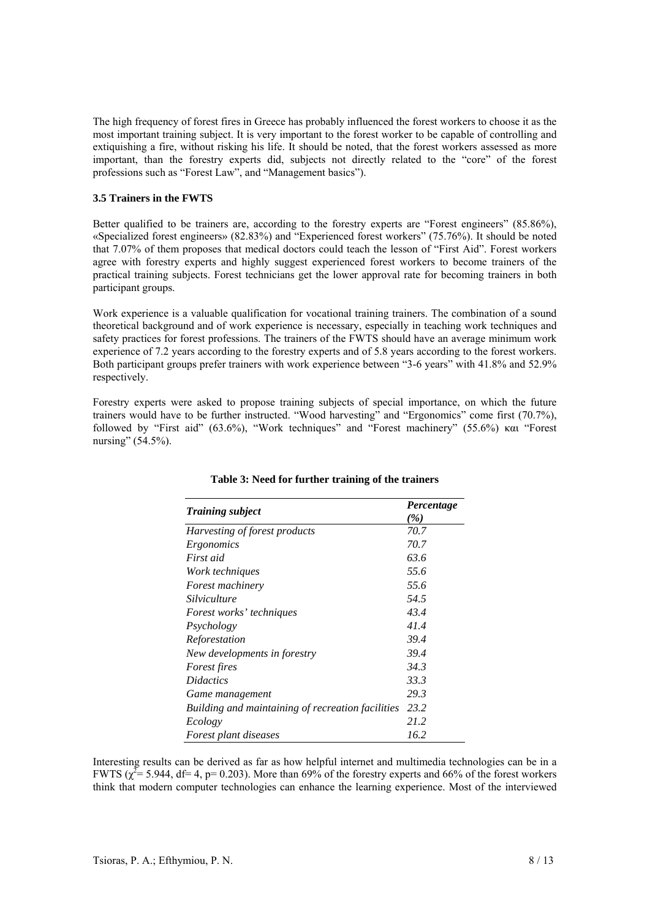The high frequency of forest fires in Greece has probably influenced the forest workers to choose it as the most important training subject. It is very important to the forest worker to be capable of controlling and extiquishing a fire, without risking his life. It should be noted, that the forest workers assessed as more important, than the forestry experts did, subjects not directly related to the "core" of the forest professions such as "Forest Law", and "Management basics").

### **3.5 Trainers in the FWTS**

Better qualified to be trainers are, according to the forestry experts are "Forest engineers" (85.86%). «Specialized forest engineers» (82.83%) and "Experienced forest workers" (75.76%). It should be noted that 7.07% of them proposes that medical doctors could teach the lesson of "First Aid". Forest workers agree with forestry experts and highly suggest experienced forest workers to become trainers of the practical training subjects. Forest technicians get the lower approval rate for becoming trainers in both participant groups.

Work experience is a valuable qualification for vocational training trainers. The combination of a sound theoretical background and of work experience is necessary, especially in teaching work techniques and safety practices for forest professions. The trainers of the FWTS should have an average minimum work experience of 7.2 years according to the forestry experts and of 5.8 years according to the forest workers. Both participant groups prefer trainers with work experience between "3-6 years" with 41.8% and 52.9% respectively.

Forestry experts were asked to propose training subjects of special importance, on which the future trainers would have to be further instructed. "Wood harvesting" and "Ergonomics" come first (70.7%), followed by "First aid" (63.6%), "Work techniques" and "Forest machinery" (55.6%) και "Forest nursing" (54.5%).

|                                                   | Percentage<br>( %) |  |
|---------------------------------------------------|--------------------|--|
| <b>Training subject</b>                           |                    |  |
| Harvesting of forest products                     | 70.7               |  |
| Ergonomics                                        | 70.7               |  |
| First aid                                         | 63.6               |  |
| Work techniques                                   | 55.6               |  |
| <i>Forest machinery</i>                           | 55.6               |  |
| Silviculture                                      | 54.5               |  |
| Forest works' techniques                          | 43.4               |  |
| Psychology                                        | 41.4               |  |
| Reforestation                                     | 39.4               |  |
| New developments in forestry                      | 39.4               |  |
| Forest fires                                      | 34.3               |  |
| <i>Didactics</i>                                  | 33.3               |  |
| Game management                                   | 29.3               |  |
| Building and maintaining of recreation facilities | 23.2               |  |
| Ecology                                           | 21.2               |  |
| <i>Forest plant diseases</i>                      | 16.2               |  |

### **Table 3: Need for further training of the trainers**

Interesting results can be derived as far as how helpful internet and multimedia technologies can be in a FWTS ( $\chi^2$  = 5.944, df = 4, p = 0.203). More than 69% of the forestry experts and 66% of the forest workers think that modern computer technologies can enhance the learning experience. Most of the interviewed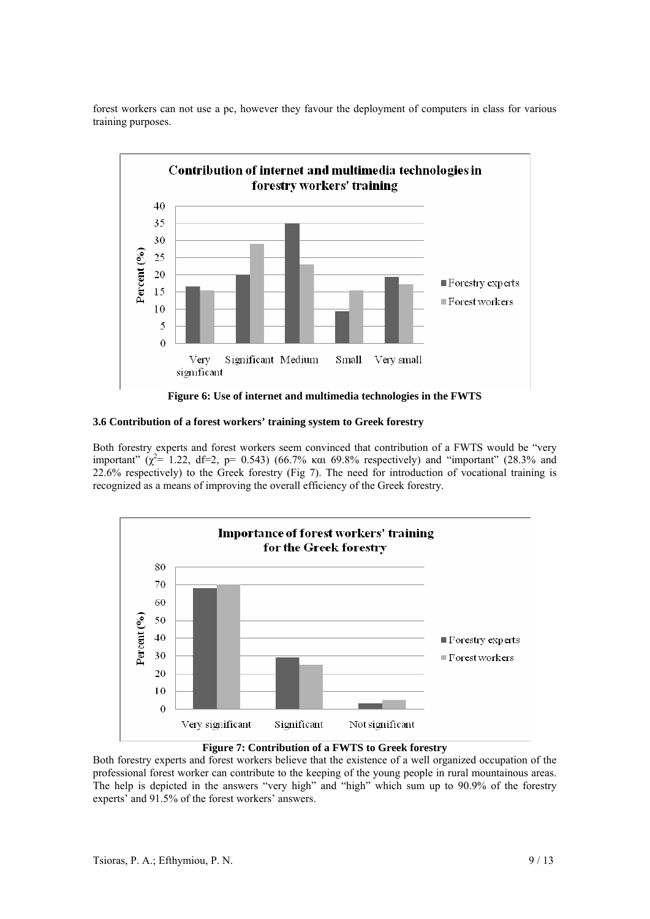

forest workers can not use a pc, however they favour the deployment of computers in class for various training purposes.

#### **3.6 Contribution of a forest workers' training system to Greek forestry**

Both forestry experts and forest workers seem convinced that contribution of a FWTS would be "very important"  $(\chi^2$ = 1.22, df=2, p= 0.543) (66.7% και 69.8% respectively) and "important" (28.3% and 22.6% respectively) to the Greek forestry (Fig 7). The need for introduction of vocational training is recognized as a means of improving the overall efficiency of the Greek forestry.



**Figure 7: Contribution of a FWTS to Greek forestry** 

Both forestry experts and forest workers believe that the existence of a well organized occupation of the professional forest worker can contribute to the keeping of the young people in rural mountainous areas. The help is depicted in the answers "very high" and "high" which sum up to 90.9% of the forestry experts' and 91.5% of the forest workers' answers.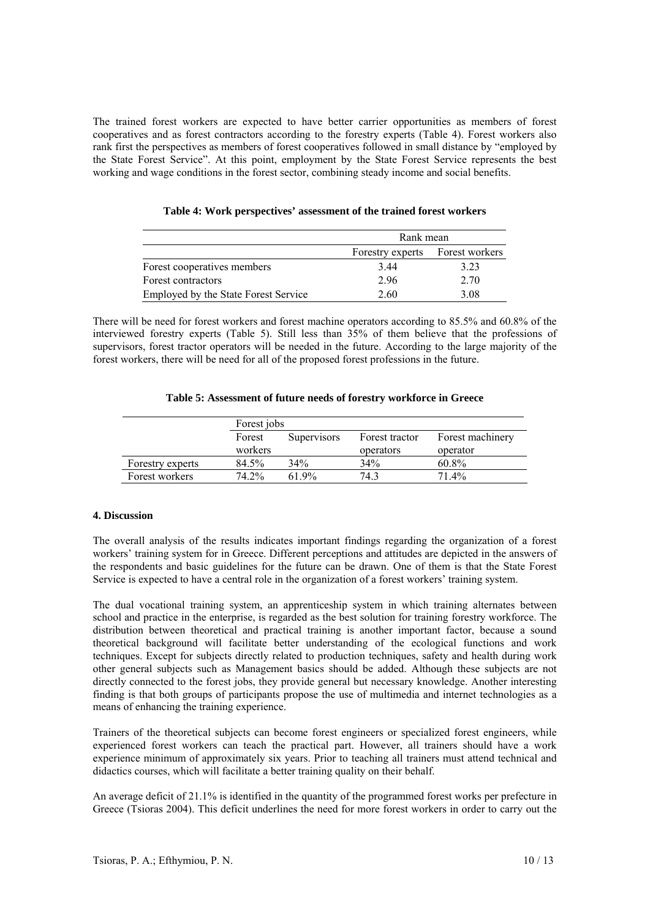The trained forest workers are expected to have better carrier opportunities as members of forest cooperatives and as forest contractors according to the forestry experts (Table 4). Forest workers also rank first the perspectives as members of forest cooperatives followed in small distance by "employed by the State Forest Service". At this point, employment by the State Forest Service represents the best working and wage conditions in the forest sector, combining steady income and social benefits.

|                                      | Rank mean                       |      |  |
|--------------------------------------|---------------------------------|------|--|
|                                      | Forestry experts Forest workers |      |  |
| Forest cooperatives members          | 3.44                            | 3.23 |  |
| Forest contractors                   | 2.96                            | 2.70 |  |
| Employed by the State Forest Service | 2.60                            | 3.08 |  |

There will be need for forest workers and forest machine operators according to 85.5% and 60.8% of the interviewed forestry experts (Table 5). Still less than 35% of them believe that the professions of supervisors, forest tractor operators will be needed in the future. According to the large majority of the forest workers, there will be need for all of the proposed forest professions in the future.

|                  | Forest jobs |                    |                |                  |
|------------------|-------------|--------------------|----------------|------------------|
|                  | Forest      | <b>Supervisors</b> | Forest tractor | Forest machinery |
|                  | workers     |                    | operators      | operator         |
| Forestry experts | 84.5%       | 34%                | 34%            | 60.8%            |
| Forest workers   | 74.2%       | 619%               | 74.3           | 71.4%            |

### **4. Discussion**

The overall analysis of the results indicates important findings regarding the organization of a forest workers' training system for in Greece. Different perceptions and attitudes are depicted in the answers of the respondents and basic guidelines for the future can be drawn. One of them is that the State Forest Service is expected to have a central role in the organization of a forest workers' training system.

The dual vocational training system, an apprenticeship system in which training alternates between school and practice in the enterprise, is regarded as the best solution for training forestry workforce. The distribution between theoretical and practical training is another important factor, because a sound theoretical background will facilitate better understanding of the ecological functions and work techniques. Except for subjects directly related to production techniques, safety and health during work other general subjects such as Management basics should be added. Although these subjects are not directly connected to the forest jobs, they provide general but necessary knowledge. Another interesting finding is that both groups of participants propose the use of multimedia and internet technologies as a means of enhancing the training experience.

Trainers of the theoretical subjects can become forest engineers or specialized forest engineers, while experienced forest workers can teach the practical part. However, all trainers should have a work experience minimum of approximately six years. Prior to teaching all trainers must attend technical and didactics courses, which will facilitate a better training quality on their behalf.

An average deficit of 21.1% is identified in the quantity of the programmed forest works per prefecture in Greece (Tsioras 2004). This deficit underlines the need for more forest workers in order to carry out the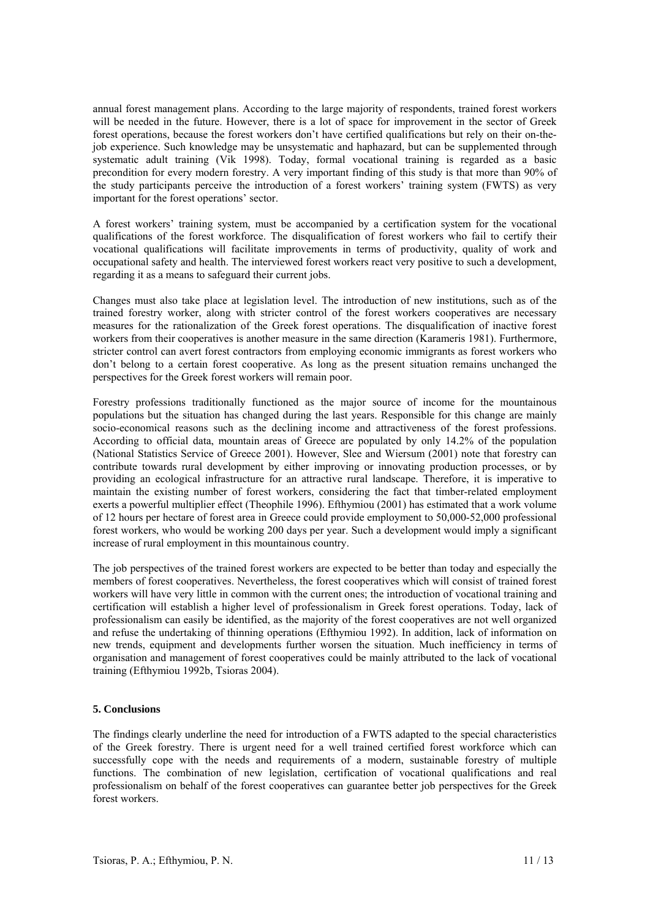annual forest management plans. According to the large majority of respondents, trained forest workers will be needed in the future. However, there is a lot of space for improvement in the sector of Greek forest operations, because the forest workers don't have certified qualifications but rely on their on-thejob experience. Such knowledge may be unsystematic and haphazard, but can be supplemented through systematic adult training (Vik 1998). Today, formal vocational training is regarded as a basic precondition for every modern forestry. A very important finding of this study is that more than 90% of the study participants perceive the introduction of a forest workers' training system (FWTS) as very important for the forest operations' sector.

A forest workers' training system, must be accompanied by a certification system for the vocational qualifications of the forest workforce. The disqualification of forest workers who fail to certify their vocational qualifications will facilitate improvements in terms of productivity, quality of work and occupational safety and health. The interviewed forest workers react very positive to such a development, regarding it as a means to safeguard their current jobs.

Changes must also take place at legislation level. The introduction of new institutions, such as of the trained forestry worker, along with stricter control of the forest workers cooperatives are necessary measures for the rationalization of the Greek forest operations. The disqualification of inactive forest workers from their cooperatives is another measure in the same direction (Karameris 1981). Furthermore, stricter control can avert forest contractors from employing economic immigrants as forest workers who don't belong to a certain forest cooperative. As long as the present situation remains unchanged the perspectives for the Greek forest workers will remain poor.

Forestry professions traditionally functioned as the major source of income for the mountainous populations but the situation has changed during the last years. Responsible for this change are mainly socio-economical reasons such as the declining income and attractiveness of the forest professions. According to official data, mountain areas of Greece are populated by only 14.2% of the population (National Statistics Service of Greece 2001). However, Slee and Wiersum (2001) note that forestry can contribute towards rural development by either improving or innovating production processes, or by providing an ecological infrastructure for an attractive rural landscape. Therefore, it is imperative to maintain the existing number of forest workers, considering the fact that timber-related employment exerts a powerful multiplier effect (Theophile 1996). Efthymiou (2001) has estimated that a work volume of 12 hours per hectare of forest area in Greece could provide employment to 50,000-52,000 professional forest workers, who would be working 200 days per year. Such a development would imply a significant increase of rural employment in this mountainous country.

The job perspectives of the trained forest workers are expected to be better than today and especially the members of forest cooperatives. Nevertheless, the forest cooperatives which will consist of trained forest workers will have very little in common with the current ones; the introduction of vocational training and certification will establish a higher level of professionalism in Greek forest operations. Today, lack of professionalism can easily be identified, as the majority of the forest cooperatives are not well organized and refuse the undertaking of thinning operations (Efthymiou 1992). In addition, lack of information on new trends, equipment and developments further worsen the situation. Much inefficiency in terms of organisation and management of forest cooperatives could be mainly attributed to the lack of vocational training (Efthymiou 1992b, Tsioras 2004).

### **5. Conclusions**

The findings clearly underline the need for introduction of a FWTS adapted to the special characteristics of the Greek forestry. There is urgent need for a well trained certified forest workforce which can successfully cope with the needs and requirements of a modern, sustainable forestry of multiple functions. The combination of new legislation, certification of vocational qualifications and real professionalism on behalf of the forest cooperatives can guarantee better job perspectives for the Greek forest workers.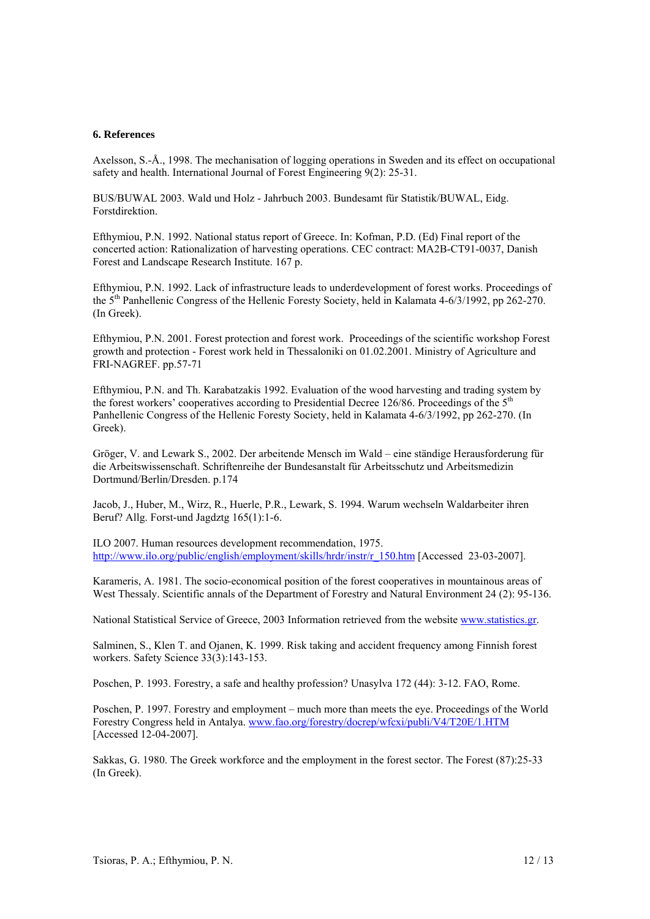#### **6. References**

Axelsson, S.-Å., 1998. The mechanisation of logging operations in Sweden and its effect on occupational safety and health. International Journal of Forest Engineering 9(2): 25-31.

BUS/BUWAL 2003. Wald und Holz - Jahrbuch 2003. Bundesamt für Statistik/BUWAL, Eidg. Forstdirektion.

Efthymiou, P.N. 1992. National status report of Greece. In: Kofman, P.D. (Ed) Final report of the concerted action: Rationalization of harvesting operations. CEC contract: MA2B-CT91-0037, Danish Forest and Landscape Research Institute. 167 p.

Efthymiou, P.N. 1992. Lack of infrastructure leads to underdevelopment of forest works. Proceedings of the 5th Panhellenic Congress of the Hellenic Foresty Society, held in Kalamata 4-6/3/1992, pp 262-270. (In Greek).

Efthymiou, P.N. 2001. Forest protection and forest work. Proceedings of the scientific workshop Forest growth and protection - Forest work held in Thessaloniki on 01.02.2001. Ministry of Agriculture and FRI-NAGREF. pp.57-71

Efthymiou, P.N. and Th. Karabatzakis 1992. Evaluation of the wood harvesting and trading system by the forest workers' cooperatives according to Presidential Decree 126/86. Proceedings of the  $5<sup>th</sup>$ Panhellenic Congress of the Hellenic Foresty Society, held in Kalamata 4-6/3/1992, pp 262-270. (In Greek).

Gröger, V. and Lewark S., 2002. Der arbeitende Mensch im Wald – eine ständige Herausforderung für die Arbeitswissenschaft. Schriftenreihe der Bundesanstalt für Arbeitsschutz und Arbeitsmedizin Dortmund/Berlin/Dresden. p.174

Jacob, J., Huber, M., Wirz, R., Huerle, P.R., Lewark, S. 1994. Warum wechseln Waldarbeiter ihren Beruf? Allg. Forst-und Jagdztg 165(1):1-6.

ILO 2007. Human resources development recommendation, 1975. http://www.ilo.org/public/english/employment/skills/hrdr/instr/r\_150.htm [Accessed 23-03-2007].

Karameris, A. 1981. The socio-economical position of the forest cooperatives in mountainous areas of West Thessaly. Scientific annals of the Department of Forestry and Natural Environment 24 (2): 95-136.

National Statistical Service of Greece, 2003 Information retrieved from the website www.statistics.gr.

Salminen, S., Klen T. and Ojanen, K. 1999. Risk taking and accident frequency among Finnish forest workers. Safety Science 33(3):143-153.

Poschen, P. 1993. Forestry, a safe and healthy profession? Unasylva 172 (44): 3-12. FAO, Rome.

Poschen, P. 1997. Forestry and employment – much more than meets the eye. Proceedings of the World Forestry Congress held in Antalya. www.fao.org/forestry/docrep/wfcxi/publi/V4/T20E/1.HTM [Accessed 12-04-2007].

Sakkas, G. 1980. The Greek workforce and the employment in the forest sector. The Forest (87):25-33 (In Greek).